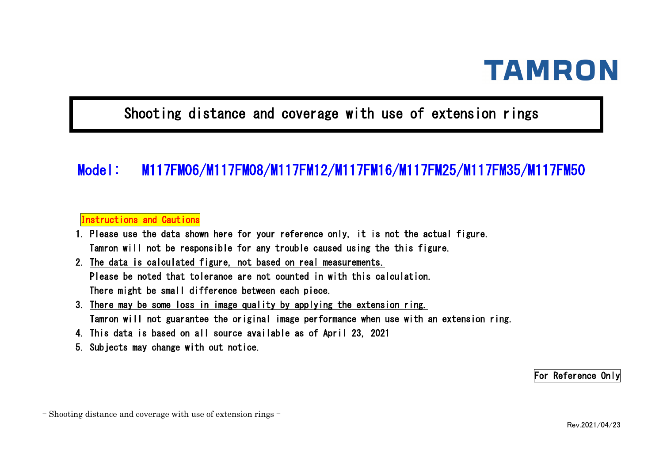## Shooting distance and coverage with use of extension rings

## Model: M117FM06/M117FM08/M117FM12/M117FM16/M117FM25/M117FM35/M117FM50

#### Instructions and Cautions

- 1. Please use the data shown here for your reference only, it is not the actual figure. Tamron will not be responsible for any trouble caused using the this figure.
- 2. The data is calculated figure, not based on real measurements. Please be noted that tolerance are not counted in with this calculation. There might be small difference between each piece.
- 3. There may be some loss in image quality by applying the extension ring. Tamron will not guarantee the original image performance when use with an extension ring.
- 4. This data is based on all source available as of April 23, 2021
- 5. Subjects may change with out notice.

For Reference Only

- Shooting distance and coverage with use of extension rings -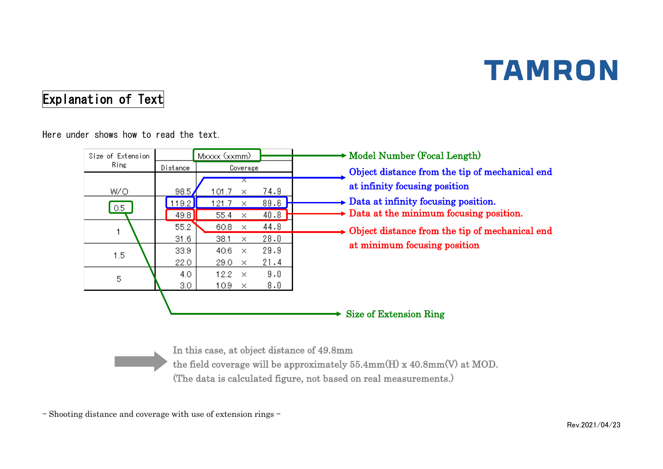## Explanation of Text

Here under shows how to read the text.

| Size of Extension |               | Mxxxx (xxmm)                         |              | Model Number (Focal Length)                                                                               |
|-------------------|---------------|--------------------------------------|--------------|-----------------------------------------------------------------------------------------------------------|
| Ring              | Distance      | Coverage                             |              | Object distance from the tip of mechanical end                                                            |
| W/O               | 98.5          | x<br>101.7<br>$\times$               | 74.9         | at infinity focusing position                                                                             |
| 0.5 <sub>1</sub>  | 119.2<br>49.8 | 21.7<br>×<br>55.4<br>×               | 89.6<br>40.8 | $\rightarrow$ Data at infinity focusing position.<br>$\rightarrow$ Data at the minimum focusing position. |
|                   | 55.2<br>31.6  | 60.8<br>$\times$<br>38.1<br>$\times$ | 44.8<br>28.0 | $\rightarrow$ Object distance from the tip of mechanical end                                              |
| 1.5               | 33.9<br>22.0  | 40.6<br>$\times$<br>29.0<br>$\times$ | 29.9<br>21.4 | at minimum focusing position                                                                              |
| 5                 | 4.0<br>3.0    | 12.2<br>$\times$<br>10.9<br>$\times$ | 9.0<br>8.0   |                                                                                                           |
|                   |               |                                      |              | Size of Extension Ring                                                                                    |

In this case, at object distance of 49.8mm the field coverage will be approximately 55.4mm(H) x 40.8mm(V) at MOD. (The data is calculated figure, not based on real measurements.)

- Shooting distance and coverage with use of extension rings -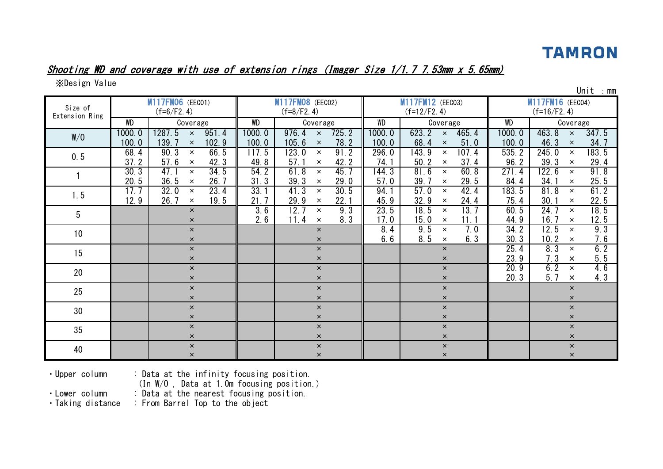#### Shooting WD and coverage with use of extension rings (Imager Size 1/1.7 7.53mm x 5.65mm)

※Design Value

| Size of<br>Extension Ring |                 | M117FM06 (EEC01)<br>$(f=6/F2.4)$                           |                 | <b>M117FM08</b> (EEC02)<br>$(f=8/F2.4)$                     |                 | M117FM12 (EEC03)<br>$(f=12/F2.4)$                          |                 | <b>PIII 6</b><br><b>M117FM16</b> (EECO4)<br>$(f=16/F2.4)$  |
|---------------------------|-----------------|------------------------------------------------------------|-----------------|-------------------------------------------------------------|-----------------|------------------------------------------------------------|-----------------|------------------------------------------------------------|
|                           | <b>WD</b>       | Coverage                                                   | WD              | Coverage                                                    | WD              | Coverage                                                   | <b>WD</b>       | Coverage                                                   |
| W/O                       | 1000.0<br>100.0 | 1287.5<br>951.4<br>$\times$<br>139.7<br>102.9<br>$\times$  | 1000.0<br>100.0 | 976.4<br>725.2<br>$\mathsf{x}$<br>78.2<br>105.6<br>$\times$ | 1000.0<br>100.0 | 623.2<br>465.4<br>$\mathsf{x}$<br>68.4<br>51.0<br>$\times$ | 1000.0<br>100.0 | 463.8<br>347.5<br>$\times$<br>46.3<br>34.7<br>$\times$     |
| 0.5                       | 68.4<br>37.2    | 90.3<br>66.5<br>$\times$<br>57.6<br>42.3<br>$\times$       | 117.5<br>49.8   | 123.0<br>91.2<br>$\times$<br>42.2<br>57.1<br>$\times$       | 296.0<br>74.1   | 143.9<br>107.4<br>$\times$<br>37.4<br>50.2<br>$\times$     | 535.2<br>96.2   | 183.5<br>245.0<br>$\times$<br>29.4<br>39.3<br>$\times$     |
|                           | 30.3<br>20.5    | 47.1<br>34.5<br>$\times$<br>36.5<br>26.7<br>$\times$       | 54.2<br>31.3    | 61.8<br>45.7<br>$\times$<br>39.3<br>29.0<br>$\times$        | 144.3<br>57.0   | 81.6<br>60.8<br>$\times$<br>39.<br>29.5<br>$\times$        | 271.4<br>84.4   | 122.6<br>91.8<br>$\times$<br>34.1<br>25.5<br>$\times$      |
| 1.5                       | 17.7<br>12.9    | 23.4<br>32.0<br>$\times$<br>26.7<br>19.5<br>$\pmb{\times}$ | 33.1<br>21.7    | 41.3<br>30.5<br>$\times$<br>22.1<br>29.9<br>$\times$        | 94.1<br>45.9    | 57.0<br>42.4<br>$\times$<br>32.9<br>24.4<br>$\times$       | 183.5<br>75.4   | 61.2<br>81.8<br>$\times$<br>22.5<br>30.1<br>$\times$       |
| 5                         |                 | $\times$<br>$\times$                                       | 3.6<br>2.6      | 12.7<br>9.3<br>$\times$<br>11.4<br>8.3<br>$\times$          | 23.5<br>17.0    | 18.5<br>13.7<br>$\times$<br>11.1<br>15.0<br>$\times$       | 60.5<br>44.9    | 18.5<br>24.7<br>$\times$<br>12.5<br>16.7<br>$\pmb{\times}$ |
| 10                        |                 | $\times$<br>$\times$                                       |                 | $\times$<br>$\times$                                        | 8.4<br>6.6      | 9.5<br>7.0<br>$\times$<br>8.5<br>6.3<br>$\times$           | 34.2<br>30.3    | 9.3<br>12.5<br>$\times$<br>7.6<br>10.2<br>$\times$         |
| 15                        |                 | $\times$<br>$\times$                                       |                 | $\times$<br>$\mathsf{x}$                                    |                 | $\times$<br>$\times$                                       | 25.4<br>23.9    | 6.2<br>8.3<br>$\times$<br>5.5<br>7.3<br>$\times$           |
| 20                        |                 | $\times$<br>$\times$                                       |                 | $\times$<br>$\times$                                        |                 | $\pmb{\times}$<br>$\boldsymbol{\mathsf{x}}$                | 20.9<br>20.3    | 6.2<br>4.6<br>$\times$<br>5.7<br>4.3<br>$\times$           |
| 25                        |                 | $\pmb{\times}$<br>$\times$                                 |                 | $\times$<br>$\pmb{\times}$                                  |                 | $\pmb{\times}$<br>$\boldsymbol{\times}$                    |                 | $\times$<br>$\pmb{\times}$                                 |
| 30                        |                 | $\times$<br>$\times$                                       |                 | $\times$<br>$\times$                                        |                 | $\pmb{\times}$<br>$\times$                                 |                 | $\times$<br>$\pmb{\times}$                                 |
| 35                        |                 | $\times$<br>$\times$                                       |                 | $\mathsf{x}$<br>$\times$                                    |                 | $\times$<br>$\boldsymbol{\mathsf{x}}$                      |                 | $\times$<br>$\times$                                       |
| 40                        |                 | $\times$<br>$\times$                                       |                 | $\times$<br>$\times$                                        |                 | $\pmb{\times}$<br>$\pmb{\times}$                           |                 | $\times$<br>$\pmb{\times}$                                 |

 $\mathsf{Unit}$  : mm

・Upper column : Data at the infinity focusing position.

(In W/O , Data at 1.0m focusing position.)

• Lower column : Data at the nearest focusing position.<br>• Taking distance : From Barrel Top to the object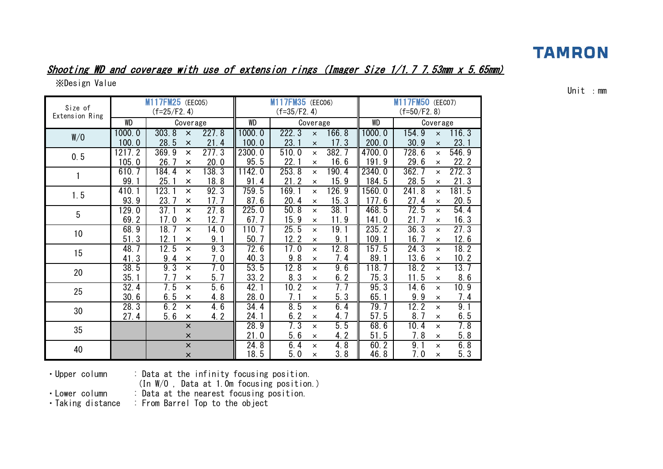# Shooting WD and coverage with use of extension rings (Imager Size 1/1.7 7.53mm x 5.65mm)

※Design Value

| Size of<br>Extension Ring |                 | M117FM25 (EEC05)<br>$(f=25/F2.4)$     |               |                | M117FM35 (EEC06)<br>$(f=35/F2.4)$ |                      |               |                 | M117FM50 (EEC07)<br>$(f=50/F2.8)$ |                      |               |
|---------------------------|-----------------|---------------------------------------|---------------|----------------|-----------------------------------|----------------------|---------------|-----------------|-----------------------------------|----------------------|---------------|
|                           | WD              | Coverage                              |               | WD             |                                   | Coverage             |               | WD              |                                   | Coverage             |               |
| W/O                       | 1000.0          | 303.8<br>$\times$                     | 227.8         | 1000.0         | 222.3                             | $\pmb{\times}$       | 166.8         | 1000.0          | 154.9                             | $\times$             | 116.3         |
|                           | 100.0           | 28.5<br>$\times$                      | 21.4          | 100.0          | 23.1                              | $\times$             | 17.3          | 200.0           | 30.9                              | $\times$             | 23.1          |
| 0.5                       | 1217.2<br>105.0 | 369.9<br>$\times$<br>26.7<br>$\times$ | 277.3<br>20.0 | 2300.0<br>95.5 | 510.0<br>22.1                     | $\times$<br>$\times$ | 382.7<br>16.6 | 4700.0<br>191.9 | 728.6<br>29.6                     | $\times$<br>$\times$ | 546.9<br>22.2 |
|                           | 610.7           | 184.4<br>$\times$                     | 138.3         | 1142.0         | 253.8                             | $\times$             | 190.4         | 2340.0          | 362.7                             | $\times$             | 272.3         |
|                           | 99.             | 25.<br>$\times$                       | 18.8          | 91.4           | 21.2                              | ×                    | 15.9          | 184.5           | 28.5                              | $\times$             | 21.3          |
|                           | 410.1           | 123.1<br>$\times$                     | 92.3          | 759.5          | 169.1                             | $\times$             | 126.9         | 1560.0          | 241.8                             | $\times$             | 181.5         |
| 1.5                       | 93.9            | 23.7<br>$\times$                      | 17.7          | 87.6           | 20.4                              | $\times$             | 15.3          | 177.6           | 27.4                              | $\times$             | 20.5          |
| 5                         | 129.0           | 37.1<br>$\times$                      | 27.8          | 225.0          | 50.8                              | $\times$             | 38.1          | 468.5           | 72.5                              | $\times$             | 54.4          |
|                           | 69.2            | 17.0<br>$\times$                      | 12.7          | 67.7           | 15.9                              | $\times$             | 11.9          | 141.0           | 21.7                              | $\pmb{\times}$       | 16.3          |
| 10                        | 68.9            | 18.7<br>$\times$                      | 14.0          | 110.7          | 25.5                              | $\times$             | 19.1          | 235.2           | 36.3                              | $\times$             | 27.3          |
|                           | 51.3            | 12.1<br>$\times$                      | 9.1           | 50.7           | 12.2                              | $\pmb{\times}$       | 9.1           | 109.1           | 16.7                              | $\times$             | 12.6          |
| 15                        | 48.7            | $\overline{12}$ . 5<br>$\times$       | 9.3           | 72.6           | 17.0                              | $\times$             | 12.8          | 157.5           | 24.3                              | $\times$             | 18.2          |
|                           | 41.3            | 9.4<br>×                              | 7.0           | 40.3           | 9.8                               | $\times$             | 7.4           | 89.1            | 13.6                              | $\pmb{\times}$       | 10.2          |
| 20                        | 38.5            | 9.3<br>$\times$                       | 7.0           | 53.5           | 12.8                              | $\times$             | 9.6           | 118.7           | 18.2                              | $\times$             | 13.7          |
|                           | 35.             | 7. 7<br>$\times$                      | 5.7           | 33.2           | 8.3                               | $\pmb{\times}$       | 6.2           | 75.3            | 11.5                              | $\times$             | 8.6           |
| 25                        | 32.4            | 7.5<br>$\times$                       | 5.6           | 42.1           | 10.2                              | $\times$             | 7.7           | 95.3            | 14.6                              | $\times$             | 10.9          |
|                           | 30.6            | 6.5<br>$\times$                       | 4.8           | 28.0           | 7.1                               | $\times$             | 5.3           | 65.1            | 9.9                               | $\times$             | 7.4           |
| 30                        | 28.3            | 6.2<br>$\times$                       | 4.6           | 34.4           | 8.5                               | $\times$             | 6.4           | 79.7            | 12.2                              | $\times$             | 9.1           |
|                           | 27.4            | 5.6<br>$\times$                       | 4.2           | 24.1           | 6.2                               | $\pmb{\times}$       | 4.7           | 57.5            | 8.7                               | $\times$             | 6.5           |
| 35                        |                 | $\times$                              |               | 28.9           | 7.3                               | $\times$             | 5.5           | 68.6            | 10.4                              | $\times$             | 7.8           |
|                           |                 | $\pmb{\times}$                        |               | 21.0           | 5.6                               | $\times$             | 4.2           | 51.5            | 7.8                               | $\pmb{\times}$       | 5.8           |
| 40                        |                 | $\pmb{\times}$                        |               | 24.8           | 6.4                               | $\times$             | 4.8           | 60.2            | 9.1                               | $\times$             | 6.8           |
|                           |                 | $\times$                              |               | 18.5           | 5.0                               | $\times$             | 3.8           | 46.8            | 7.0                               | $\times$             | 5.3           |

Unit :mm

・Upper column : Data at the infinity focusing position.

(In W/O , Data at 1.0m focusing position.)

• Lower column : Data at the nearest focusing position.<br>• Taking distance : From Barrel Top to the object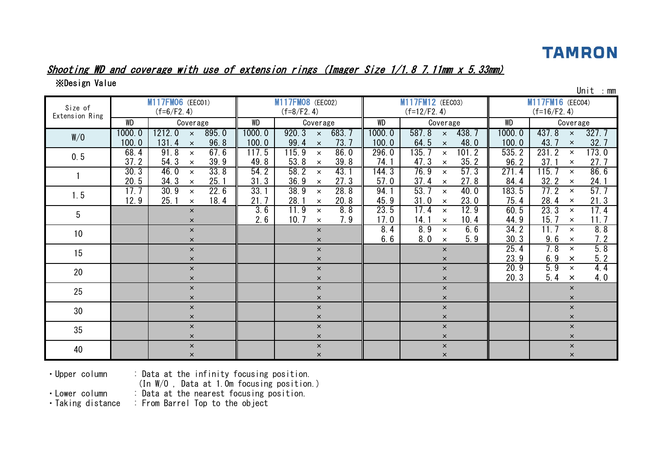#### Shooting WD and coverage with use of extension rings (Imager Size 1/1.8 7.11mm x 5.33mm)

※Design Value

| Size of<br>Extension Ring |                 | M117FM06 (EEC01)<br>$(f=6/F2.4)$                         |                 | <b>M117FM08</b> (EEC02)<br>$(f=8/F2.4)$                     |                 | M117FM12 (EEC03)<br>$(f=12/F2.4)$                                |                 | ᇭ<br>M117FM16 (EEC04)<br>$(f=16/F2.4)$                 |
|---------------------------|-----------------|----------------------------------------------------------|-----------------|-------------------------------------------------------------|-----------------|------------------------------------------------------------------|-----------------|--------------------------------------------------------|
|                           | <b>WD</b>       | Coverage                                                 | WD              | Coverage                                                    | WD              | Coverage                                                         | WD              | Coverage                                               |
| W/O                       | 1000.0<br>100.0 | 895.0<br>1212.0<br>$\times$<br>96.8<br>131.4<br>$\times$ | 1000.0<br>100.0 | 920.3<br>683.7<br>$\mathsf{x}$<br>73.7<br>99.4<br>$\times$  | 1000.0<br>100.0 | 438.7<br>587.8<br>$\mathsf{x}$<br>64.5<br>48.0<br>$\pmb{\times}$ | 1000.0<br>100.0 | 437.8<br>327.7<br>$\times$<br>43.7<br>32.7<br>$\times$ |
| 0.5                       | 68.4<br>37.2    | 91.8<br>67.6<br>$\times$<br>54.3<br>39.9<br>$\times$     | 117.5<br>49.8   | 115.9<br>86.0<br>$\pmb{\times}$<br>39.8<br>53.8<br>$\times$ | 296.0<br>74.1   | 135.<br>101.2<br>$\times$<br>35.2<br>47.3<br>$\times$            | 535.2<br>96.2   | 231.2<br>173.0<br>$\times$<br>37.1<br>27.7<br>$\times$ |
|                           | 30.3<br>20.5    | 33.8<br>46.0<br>$\times$<br>34.3<br>25.1<br>$\times$     | 54.2<br>31.3    | 58.2<br>43.1<br>$\times$<br>27.3<br>36.9<br>$\times$        | 144.3<br>57.0   | 76.9<br>57.3<br>$\times$<br>37.4<br>27.8<br>$\times$             | 271.4<br>84.4   | 86.6<br>115.7<br>$\times$<br>32.2<br>24.1<br>$\times$  |
| 1.5                       | 17.7<br>12.9    | 22.6<br>30.9<br>$\times$<br>25.1<br>18.4<br>$\times$     | 33.1<br>21.7    | 28.8<br>38.9<br>$\times$<br>20.8<br>28.1<br>$\times$        | 94.1<br>45.9    | 53.7<br>40.0<br>$\times$<br>31.0<br>23.0<br>$\times$             | 183.5<br>75.4   | 57.7<br>77.2<br>$\times$<br>21.3<br>28.4<br>$\times$   |
| $5\phantom{.0}$           |                 | $\times$<br>$\times$                                     | 3.6<br>2.6      | 11.9<br>8.8<br>$\times$<br>10.7<br>7.9<br>$\times$          | 23.5<br>17.0    | 17.4<br>12.9<br>$\times$<br>10.4<br>14.1<br>$\times$             | 60.5<br>44.9    | 23.3<br>17.4<br>$\times$<br>11.7<br>15.7<br>$\times$   |
| 10 <sup>°</sup>           |                 | $\mathsf{x}$<br>$\times$                                 |                 | $\mathsf{x}$<br>$\times$                                    | 8.4<br>6.6      | 8.9<br>6.6<br>$\times$<br>5.9<br>8.0<br>$\times$                 | 34.2<br>30.3    | 8.8<br>11.7<br>$\times$<br>7.2<br>9.6<br>$\times$      |
| 15                        |                 | $\times$<br>$\times$                                     |                 | $\times$<br>$\times$                                        |                 | $\times$<br>$\times$                                             | 25.4<br>23.9    | 5.8<br>7.8<br>$\pmb{\times}$<br>5.2<br>6.9<br>$\times$ |
| 20                        |                 | $\times$<br>$\times$                                     |                 | $\mathsf{x}$<br>$\times$                                    |                 | $\pmb{\times}$<br>$\boldsymbol{\mathsf{x}}$                      | 20.9<br>20.3    | 5.9<br>4.4<br>$\times$<br>5.4<br>4.0<br>$\times$       |
| 25                        |                 | $\times$<br>$\times$                                     |                 | $\mathsf{x}$<br>$\mathsf{x}$                                |                 | $\pmb{\times}$<br>$\boldsymbol{\mathsf{x}}$                      |                 | $\times$<br>$\times$                                   |
| 30                        |                 | $\times$<br>$\times$                                     |                 | $\mathsf{x}$<br>$\times$                                    |                 | $\boldsymbol{\times}$<br>$\times$                                |                 | $\pmb{\times}$<br>$\pmb{\times}$                       |
| 35                        |                 | $\times$<br>$\times$                                     |                 | $\mathsf{x}$<br>$\times$                                    |                 | $\pmb{\times}$<br>$\pmb{\times}$                                 |                 | $\times$<br>$\times$                                   |
| 40                        |                 | $\times$<br>$\times$                                     |                 | $\times$<br>$\pmb{\times}$                                  |                 | $\boldsymbol{\times}$<br>$\pmb{\times}$                          |                 | $\times$<br>$\pmb{\times}$                             |

・Upper column : Data at the infinity focusing position.

(In W/O , Data at 1.0m focusing position.)

• Lower column : Data at the nearest focusing position.<br>• Taking distance : From Barrel Top to the object

: From Barrel Top to the object

Unit :mm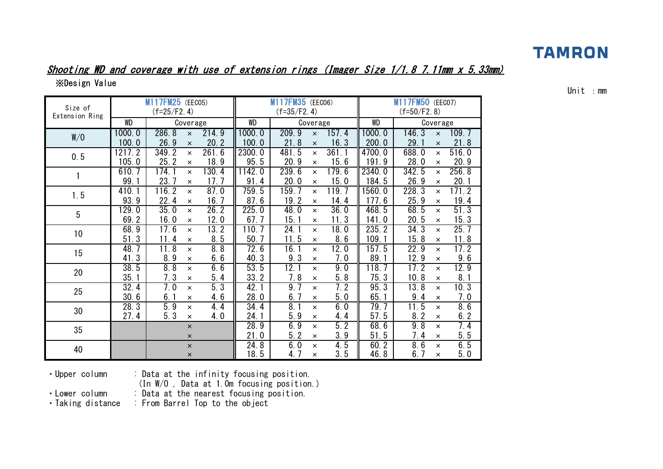#### Shooting WD and coverage with use of extension rings (Imager Size 1/1.8 7.11mm x 5.33mm) ※Design Value

WD | Coverage || WD | Coverage || WD 1000.0 286.8 × 214.9 1000.0 209.9 × 157.4 1000.0 146.3 × 109.7 100.0 | 26.9  $\times$  20.2 || 100.0 | 21.8  $\times$  16.3 || 200.0 | 29.1  $\times$  21.8 1217.2 349.2 × 261.6 2300.0 481.5 × 361.1 4700.0 688.0 × 516.0  $105.0$  | 25.2  $\times$  18.9 || 95.5 | 20.9  $\times$  15.6 || 191.9 | 28.0  $\times$  20.9 610.7 | 174.1 × 130.4 ||1142.0 | 239.6 × 179.6 ||2340.0 | 342.5 × 256.8 99.1 23.7 × 17.7 91.4 20.0 × 15.0 184.5 26.9 × 20.1 410.1 116.2 × 87.0 759.5 159.7 × 119.7 1560.0 228.3 × 171.2 93.9 | 22.4 × 16.7 || 87.6 | 19.2 × 14.4 || 177.6 | 25.9 × 19.4 129.0 | 35.0  $\times$  26.2 || 225.0 | 48.0  $\times$  36.0 || 468.5 | 68.5  $\times$  51.3 69.2 | 16.0 × 12.0 || 67.7 | 15.1 × 11.3 || 141.0 | 20.5 × 15.3 68.9 | 17.6  $\times$  13.2 || 110.7 | 24.1  $\times$  18.0 || 235.2 | 34.3  $\times$  25.7  $51.3$  | 11.4  $\times$  8.5 || 50.7 | 11.5  $\times$  8.6 || 109.1 | 15.8  $\times$  11.8 48.7 | 11.8 × 8.8 || 72.6 | 16.1 × 12.0 || 157.5 | 22.9 × 17.2  $41.3$  |  $8.9$   $\times$   $6.6$  ||  $40.3$  |  $9.3$   $\times$  7.0 ||  $89.1$  |  $12.9$   $\times$   $9.6$ 38.5 | 8.8 × 6.6 || 53.5 | 12.1 × 9.0 || 118.7 | 17.2 × 12.9 35.1 7.3 × 5.4 33.2 7.8 × 5.8 75.3 10.8 × 8.1 32.4 | 7.0 × 5.3 || 42.1 | 9.7 × 7.2 || 95.3 | 13.8 × 10.3  $30.6$  |  $6.1$   $\times$   $4.6$  || 28.0 |  $6.7$   $\times$   $5.0$  ||  $65.1$  |  $9.4$   $\times$  7.0 28.3 | 5.9 × 4.4 || 34.4 | 8.1 × 6.0 || 79.7 | 11.5 × 8.6 27.4 | 5.3 × 4.0 || 24.1 | 5.9 × 4.4 || 57.5 | 8.2 × 6.2  $\times$  || 28.9 || 6.9  $\times$  5.2 || 68.6 || 9.8  $\times$  7.4  $\times$  || 21.0 || 5.2  $\times$  3.9 || 51.5 || 7.4  $\times$  5.5  $\times$  || 24.8 || 6.0  $\times$  4.5 || 60.2 || 8.6  $\times$  6.5  $\times$  18.5 4.7  $\times$  3.5 46.8 6.7  $\times$  5.0  $(f=35/F2.4)$   $(f=50/F2.8)$ M117FM35 (EEC06) M117FM50 (EEC07) 1.5 5 10 15 W/O 0.5 1 Size of Extension Ring Coverage **ND** Coverage M117FM25 (EEC05)  $(f=25/F2.4)$ 20 25 30 35 40

Unit :mm

・Upper column : Data at the infinity focusing position.

(In W/O , Data at 1.0m focusing position.)

・Lower column : Data at the nearest focusing position.

・Taking distance : From Barrel Top to the object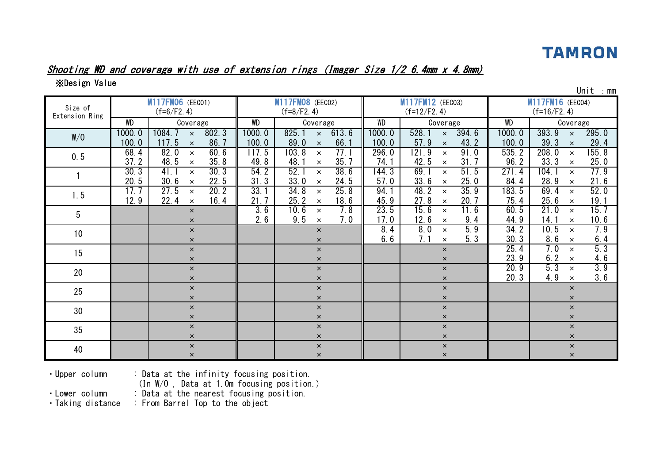Unit :mm

#### Shooting WD and coverage with use of extension rings (Imager Size 1/2 6.4mm x 4.8mm)

※Design Value

| Size of<br>Extension Ring |                 | M117FM06 (EEC01)<br>$(f=6/F2.4)$                               |                 | M117FM08 (EEC02)<br>$(f=8/F2.4)$                      |                 | M117FM12 (EEC03)<br>$(f=12/F2.4)$                      |                 | ᇭ<br>M117FM16 (EEC04)<br>$(f=16/F2.4)$                 |
|---------------------------|-----------------|----------------------------------------------------------------|-----------------|-------------------------------------------------------|-----------------|--------------------------------------------------------|-----------------|--------------------------------------------------------|
|                           | WD              | Coverage                                                       | WD              | Coverage                                              | WD              | Coverage                                               | WD              | Coverage                                               |
| W/O                       | 1000.0<br>100.0 | 1084.7<br>802.3<br>$\pmb{\times}$<br>86.7<br>117.5<br>$\times$ | 1000.0<br>100.0 | 825.1<br>613.6<br>$\times$<br>66.<br>89.0<br>$\times$ | 1000.0<br>100.0 | 528.1<br>394.6<br>$\times$<br>43.2<br>57.9<br>$\times$ | 1000.0<br>100.0 | 393.9<br>295.0<br>$\times$<br>39.3<br>29.4<br>$\times$ |
| 0.5                       | 68.4<br>37.2    | 82.0<br>60.6<br>$\times$<br>35.8<br>48.5<br>$\times$           | 117.5<br>49.8   | 103.8<br>77.1<br>$\times$<br>35.7<br>48.<br>$\times$  | 296.0<br>74.1   | 121.9<br>91.0<br>$\times$<br>31.7<br>42.5<br>$\times$  | 535.2<br>96.2   | 155.8<br>208.0<br>$\times$<br>33.3<br>25.0<br>$\times$ |
|                           | 30.3<br>20.5    | 41.1<br>30.3<br>$\times$<br>22.5<br>30.6<br>$\times$           | 54.2<br>31.3    | 52.1<br>38.6<br>$\times$<br>33.0<br>24.5<br>$\times$  | 144.3<br>57.0   | 69.1<br>51.5<br>$\times$<br>33.6<br>25.0<br>$\times$   | 271.4<br>84.4   | 77.9<br>104.1<br>$\times$<br>28.9<br>21.6<br>$\times$  |
| 1.5                       | 17.7<br>12.9    | 20.2<br>27.5<br>$\times$<br>16.4<br>22.4<br>$\times$           | 33.1<br>21.7    | 25.8<br>34.8<br>$\times$<br>25.2<br>18.6<br>$\times$  | 94.1<br>45.9    | 35.9<br>48.2<br>$\times$<br>27.8<br>20.7<br>$\times$   | 183.5<br>75.4   | 69.4<br>52.0<br>$\times$<br>25.6<br>19.1<br>$\times$   |
| 5                         |                 | $\times$<br>$\times$                                           | 3.6<br>2.6      | 10.6<br>7.8<br>$\times$<br>9.5<br>7.0<br>$\times$     | 23.5<br>17.0    | 15.6<br>11.6<br>$\times$<br>12.6<br>9.4<br>$\times$    | 60.5<br>44.9    | 15.7<br>21.0<br>$\times$<br>10.6<br>14.1<br>$\times$   |
| 10 <sup>°</sup>           |                 | $\times$<br>$\pmb{\times}$                                     |                 | $\times$<br>$\times$                                  | 8.4<br>6.6      | 5.9<br>8.0<br>$\times$<br>7.1<br>5.3<br>$\times$       | 34.2<br>30.3    | 7.9<br>10.5<br>$\times$<br>6.4<br>8.6<br>$\times$      |
| 15                        |                 | $\pmb{\times}$<br>$\times$                                     |                 | $\times$<br>$\times$                                  |                 | $\times$<br>$\times$                                   | 25.4<br>23.9    | 5.3<br>7.0<br>$\times$<br>6.2<br>4.6<br>$\times$       |
| 20                        |                 | $\pmb{\times}$<br>$\times$                                     |                 | $\times$<br>$\times$                                  |                 | $\times$<br>$\times$                                   | 20.9<br>20.3    | 5.3<br>3.9<br>$\times$<br>3.6<br>4.9<br>$\times$       |
| 25                        |                 | $\times$<br>$\times$                                           |                 | $\times$<br>$\times$                                  |                 | $\pmb{\times}$<br>$\times$                             |                 | $\times$<br>$\times$                                   |
| 30                        |                 | $\pmb{\times}$<br>$\times$                                     |                 | $\times$<br>$\times$                                  |                 | $\pmb{\times}$<br>$\pmb{\times}$                       |                 | $\pmb{\times}$<br>$\times$                             |
| 35                        |                 | $\times$<br>$\times$                                           |                 | $\times$<br>$\times$                                  |                 | $\pmb{\times}$<br>$\times$                             |                 | $\times$<br>$\times$                                   |
| 40                        |                 | $\times$<br>$\times$                                           |                 | $\times$<br>$\times$                                  |                 | $\pmb{\times}$<br>$\times$                             |                 | $\times$<br>$\times$                                   |

・Upper column : Data at the infinity focusing position.

(In W/O , Data at 1.0m focusing position.)

• Lower column : Data at the nearest focusing position.<br>• Taking distance : From Barrel Top to the object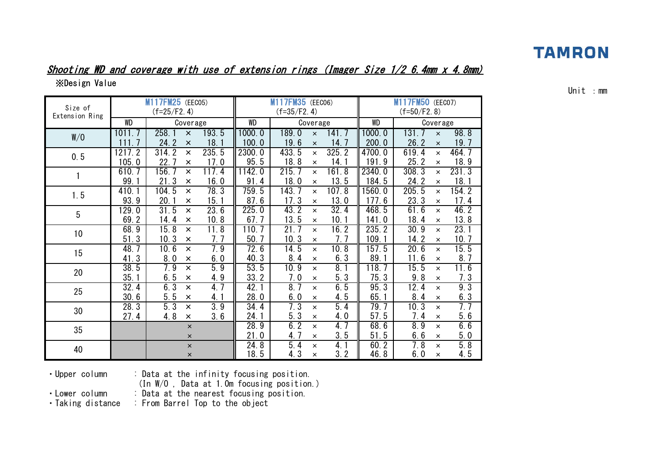#### Shooting WD and coverage with use of extension rings (Imager Size 1/2 6.4mm x 4.8mm) ※Design Value

WD | Coverage || WD | Coverage || WD | Coverage 1011.7 258.1 × 193.5 1000.0 189.0 × 141.7 1000.0 131.7 × 98.8 111.7 24.2 × 18.1 100.0 19.6 × 14.7 200.0 26.2 × 19.7 1217.2 | 314.2 × 235.5 ||2300.0 | 433.5 × 325.2 ||4700.0 | 619.4 × 464.7 105.0 | 22.7 × 17.0 || 95.5 | 18.8 × 14.1 || 191.9 | 25.2 × 18.9 610.7 156.7 × 117.4 1142.0 215.7 × 161.8 2340.0 308.3 × 231.3 99.1 | 21.3 × 16.0 || 91.4 | 18.0 × 13.5 || 184.5 | 24.2 × 18.1 410.1 104.5 × 78.3 759.5 143.7 × 107.8 1560.0 205.5 × 154.2 93.9 20.1 × 15.1 87.6 17.3 × 13.0 177.6 23.3 × 17.4 129.0 | 31.5  $\times$  23.6 || 225.0 | 43.2  $\times$  32.4 || 468.5 | 61.6  $\times$  46.2 69.2 | 14.4  $\times$  10.8 || 67.7 | 13.5  $\times$  10.1 || 141.0 | 18.4  $\times$  13.8 68.9 | 15.8  $\times$  11.8 || 110.7 | 21.7  $\times$  16.2 || 235.2 | 30.9  $\times$  23.1 51.3 | 10.3 × 7.7 || 50.7 | 10.3 × 7.7 || 109.1 | 14.2 × 10.7 48.7 10.6 × 7.9 72.6 14.5 × 10.8 157.5 20.6 × 15.5  $41.3$  | 8.0  $\times$  6.0 || 40.3 || 8.4  $\times$  6.3 || 89.1 || 11.6  $\times$  8.7 38.5 | 7.9 × 5.9 || 53.5 | 10.9 × 8.1 || 118.7 | 15.5 × 11.6 35.1 | 6.5 × 4.9 || 33.2 | 7.0 × 5.3 || 75.3 | 9.8 × 7.3  $32.4$  | 6.3  $\times$  4.7 || 42.1 | 8.7  $\times$  6.5 || 95.3 | 12.4  $\times$  9.3  $30.6$  |  $5.5$   $\times$   $4.1$  ||  $28.0$  |  $6.0$   $\times$   $4.5$  ||  $65.1$  |  $8.4$   $\times$   $6.3$ 28.3 | 5.3 × 3.9 || 34.4 | 7.3 × 5.4 || 79.7 | 10.3 × 7.7 27.4 | 4.8  $\times$  3.6 || 24.1 | 5.3  $\times$  4.0 || 57.5 | 7.4  $\times$  5.6  $\times$  || 28.9 | 6.2  $\times$  4.7 || 68.6 | 8.9  $\times$  6.6  $\times$  || 21.0 || 4.7  $\times$  3.5 || 51.5 || 6.6  $\times$  5.0  $\times$  || 24.8 || 5.4  $\times$  4.1 || 60.2 || 7.8  $\times$  5.8  $\times$  18.5 4.3  $\times$  3.2 46.8 6.0  $\times$  4.5  $(f=35/F2.4)$   $(f=50/F2.8)$ M117FM35 (FFC06) **M117FM50** (FFC07) 1.5 5 10 15 W/O 0.5 1 Size of Extension Ring M117FM25 (EEC05)  $(f=25/F2.4)$ 20 25 30 35 40

Unit :mm

・Upper column : Data at the infinity focusing position.

(In W/O , Data at 1.0m focusing position.)

・Lower column : Data at the nearest focusing position.

・Taking distance : From Barrel Top to the object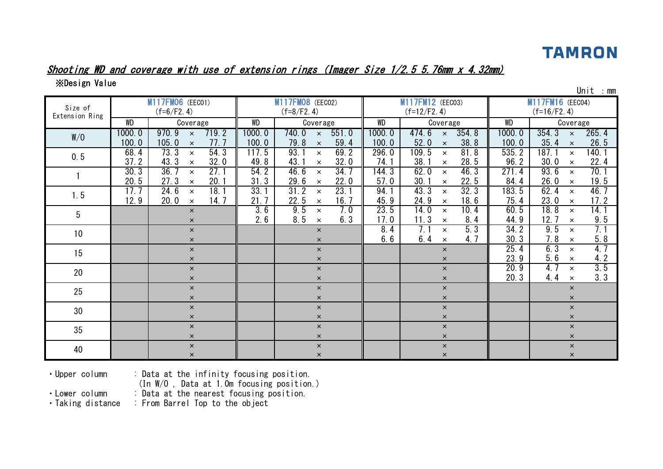## Shooting WD and coverage with use of extension rings (Imager Size 1/2.5 5.76mm x 4.32mm)

※Design Value

| Size of<br>Extension Ring |                 | M117FM06 (EEC01)<br>$(f=6/F2.4)$                            |                 | M117FM08 (EEC02)<br>$(f=8/F2.4)$                           |                 | M117FM12 (EEC03)<br>$(f=12/F2.4)$                          |                 | M117FM16 (EEC04)<br>$(f=16/F2.4)$                      |
|---------------------------|-----------------|-------------------------------------------------------------|-----------------|------------------------------------------------------------|-----------------|------------------------------------------------------------|-----------------|--------------------------------------------------------|
|                           | <b>WD</b>       | Coverage                                                    | <b>WD</b>       | Coverage                                                   | WD              | Coverage                                                   | <b>WD</b>       | Coverage                                               |
| W/O                       | 1000.0<br>100.0 | 970.9<br>719.2<br>$\mathsf{x}$<br>105.0<br>77.7<br>$\times$ | 1000.0<br>100.0 | 740.0<br>551.0<br>$\mathsf{x}$<br>59.4<br>79.8<br>$\times$ | 1000.0<br>100.0 | 354.8<br>474.6<br>$\mathsf{x}$<br>38.8<br>52.0<br>$\times$ | 1000.0<br>100.0 | 354.3<br>265.4<br>$\times$<br>35.4<br>26.5<br>$\times$ |
| 0.5                       | 68.4<br>37.2    | 73.3<br>54.3<br>$\times$<br>43.3<br>32.0<br>$\times$        | 117.5<br>49.8   | 93.1<br>69.2<br>$\times$<br>32.0<br>43.7<br>$\times$       | 296.0<br>74.1   | 109.5<br>81.8<br>$\times$<br>28.5<br>38.1<br>$\times$      | 535.2<br>96.2   | 187.1<br>140.1<br>$\times$<br>22.4<br>30.0<br>$\times$ |
|                           | 30.3<br>20.5    | 36.7<br>27.1<br>$\times$<br>27.3<br>20.1<br>$\times$        | 54.2<br>31.3    | 46.6<br>34.7<br>$\times$<br>29.6<br>22.0<br>$\times$       | 144.3<br>57.0   | 62.0<br>46.3<br>$\times$<br>30.1<br>22.5<br>$\times$       | 271.4<br>84.4   | 70.1<br>93.6<br>$\times$<br>19.5<br>26.0<br>$\times$   |
| 1.5                       | 17.7<br>12.9    | 18.1<br>24.6<br>$\times$<br>20.0<br>14.7<br>$\times$        | 33.1<br>21.7    | 23.1<br>31.2<br>$\times$<br>22.5<br>16.7<br>$\times$       | 94.1<br>45.9    | 43.3<br>32.3<br>$\times$<br>24.9<br>18.6<br>$\times$       | 183.5<br>75.4   | 62.4<br>46.7<br>$\times$<br>17.2<br>23.0<br>$\times$   |
| 5                         |                 | $\times$<br>$\times$                                        | 3.6<br>2.6      | 9.5<br>7.0<br>$\times$<br>8.5<br>6.3<br>$\times$           | 23.5<br>17.0    | 14.0<br>10.4<br>$\times$<br>8.4<br>11.3<br>$\times$        | 60.5<br>44.9    | 18.8<br>14.1<br>$\times$<br>9.5<br>12.7<br>$\times$    |
| 10                        |                 | $\times$<br>$\times$                                        |                 | $\times$<br>$\times$                                       | 8.4<br>6.6      | 5.3<br>7.1<br>$\times$<br>6.4<br>4.7<br>$\times$           | 34.2<br>30.3    | 7.1<br>9.5<br>$\times$<br>5.8<br>7.8<br>$\times$       |
| 15                        |                 | $\times$<br>$\times$                                        |                 | $\times$<br>$\times$                                       |                 | $\times$<br>$\times$                                       | 25.4<br>23.9    | 6.3<br>4.7<br>$\times$<br>4.2<br>5.6<br>$\times$       |
| 20                        |                 | $\times$<br>$\times$                                        |                 | $\pmb{\times}$<br>$\times$                                 |                 | $\pmb{\times}$<br>$\pmb{\times}$                           | 20.9<br>20.3    | 3.5<br>4.7<br>$\times$<br>3.3<br>4.4<br>$\times$       |
| 25                        |                 | $\times$<br>$\times$                                        |                 | $\times$<br>$\mathsf{x}$                                   |                 | $\pmb{\times}$<br>$\times$                                 |                 | $\times$<br>$\times$                                   |
| 30                        |                 | $\times$<br>$\pmb{\times}$                                  |                 | $\times$<br>$\times$                                       |                 | $\pmb{\times}$<br>$\pmb{\times}$                           |                 | $\times$<br>$\pmb{\times}$                             |
| 35                        |                 | $\times$<br>$\times$                                        |                 | $\times$<br>$\times$                                       |                 | $\pmb{\times}$<br>$\boldsymbol{\mathsf{x}}$                |                 | $\times$<br>$\times$                                   |
| 40                        |                 | $\pmb{\times}$<br>$\times$                                  |                 | $\pmb{\times}$<br>$\pmb{\times}$                           |                 | $\pmb{\times}$<br>$\pmb{\times}$                           |                 | $\pmb{\times}$<br>$\pmb{\times}$                       |

 $\mathsf{Unit}$  : mm

・Upper column : Data at the infinity focusing position.

(In W/O , Data at 1.0m focusing position.)

• Lower column : Data at the nearest focusing position.<br>• Taking distance : From Barrel Top to the object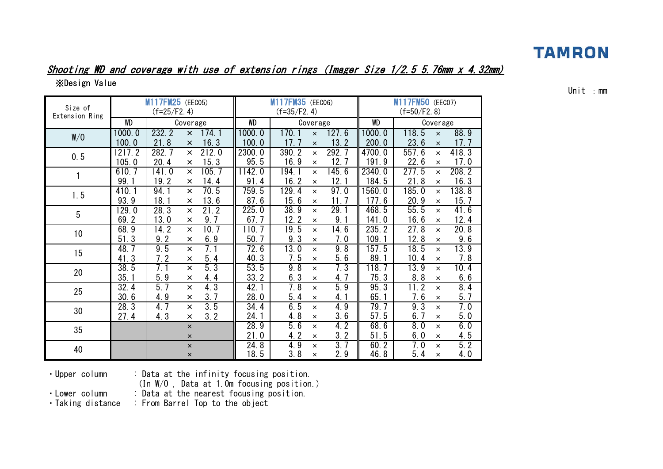#### Shooting WD and coverage with use of extension rings (Imager Size 1/2.5 5.76mm x 4.32mm) ※Design Value

| Size of         |                   | M117FM25 (EEC05)<br>$(f=25/F2.4)$ |                |       |        | M117FM35 (EECO6)<br>$(f=35/F2.4)$ |                |       |        | M117FM50 (EEC07)<br>$(f=50/F2.8)$ |                |       |
|-----------------|-------------------|-----------------------------------|----------------|-------|--------|-----------------------------------|----------------|-------|--------|-----------------------------------|----------------|-------|
| Extension Ring  | WD                |                                   | Coverage       |       | WD     |                                   | Coverage       |       | WD     |                                   | Coverage       |       |
| W/O             | 1000.0            | 232.2                             | $\pmb{\times}$ | 174.1 | 1000.0 | 170. 1                            | $\times$       | 127.6 | 1000.0 | 118.5                             | $\times$       | 88.9  |
|                 | 100.0             | 21.8                              | $\times$       | 16.3  | 100.0  | 17.7                              | $\times$       | 13.2  | 200.0  | 23.6                              | $\times$       | 17.7  |
| 0.5             | 1217.2            | 282.7                             | $\pmb{\times}$ | 212.0 | 2300.0 | 390.2                             | $\times$       | 292.7 | 4700.0 | 557.6                             | $\pmb{\times}$ | 418.3 |
|                 | 105.0             | 20.4                              | $\times$       | 15.3  | 95.5   | 16.9                              | $\times$       | 12.7  | 191.9  | 22.6                              | $\times$       | 17.0  |
| 1               | 610.7             | 141.0                             | $\times$       | 105.7 | 1142.0 | 194.1                             | $\times$       | 145.6 | 2340.0 | 277.5                             | $\times$       | 208.2 |
|                 | 99.1              | 19.2                              | $\times$       | 14.4  | 91.4   | 16.2                              | $\times$       | 12.1  | 184.5  | 21.8                              | $\times$       | 16.3  |
| 1.5             | 410.1             | 94.1                              | $\times$       | 70.5  | 759.5  | 129.4                             | $\times$       | 97.0  | 1560.0 | 185.0                             | $\times$       | 138.8 |
|                 | 93.9              | 18.1                              | $\times$       | 13.6  | 87.6   | 15.6                              | $\times$       | 11.7  | 177.6  | 20.9                              | $\times$       | 15.7  |
| 5               | 129.0             | 28.3                              | $\times$       | 21.2  | 225.0  | 38.9                              | $\times$       | 29.1  | 468.5  | 55.5                              | $\times$       | 41.6  |
|                 | 69.2              | 13.0                              | $\times$       | 9.7   | 67.7   | 12.2                              | $\times$       | 9.    | 141.0  | 16.6                              | $\pmb{\times}$ | 12.4  |
| 10 <sup>°</sup> | 68.9              | 14.2                              | $\times$       | 10.7  | 110.7  | 19.5                              | $\times$       | 14.6  | 235.2  | 27.8                              | $\times$       | 20.8  |
|                 | 51.3              | 9.2                               | $\times$       | 6.9   | 50.7   | 9.3                               | $\pmb{\times}$ | 7.0   | 109.1  | 12.8                              | $\pmb{\times}$ | 9.6   |
| 15              | 48.7              | 9.5                               | $\times$       | 7.1   | 72.6   | 13.0                              | $\times$       | 9.8   | 157.5  | 18.5                              | $\pmb{\times}$ | 13.9  |
|                 | 41.<br>3          | 7.2                               | $\times$       | 5.4   | 40.3   | 7.5                               | $\times$       | 5.6   | 89.1   | 10.4                              | $\times$       | 7.8   |
| 20              | 38.5              | 7.1                               | $\mathsf{x}$   | 5.3   | 53.5   | 9.8                               | $\times$       | 7.3   | 118.7  | 13.9                              | $\times$       | 10.4  |
|                 | 35.1              | 5.9                               | $\times$       | 4.4   | 33.2   | 6.3                               | $\times$       | 4.7   | 75.3   | 8.8                               | $\times$       | 6.6   |
| 25              | 32.4              | 5.7                               | $\times$       | 4.3   | 42.1   | 7.8                               | $\times$       | 5.9   | 95.3   | 11.2                              | $\mathsf{x}$   | 8.4   |
|                 | 30.6              | 4.9                               | $\times$       | 3.7   | 28.0   | 5.4                               | $\pmb{\times}$ | 4.1   | 65.1   | 7.6                               | $\pmb{\times}$ | 5.7   |
| 30              | $28.\overline{3}$ | 4.7                               | $\times$       | 3.5   | 34.4   | 6.5                               | $\times$       | 4.9   | 79.7   | 9.3                               | $\times$       | 7.0   |
|                 | 27.4              | 4.3                               | $\times$       | 3.2   | 24.1   | 4.8                               | $\pmb{\times}$ | 3.6   | 57.5   | 6.7                               | $\times$       | 5.0   |
| 35              |                   |                                   | $\times$       |       | 28.9   | 5.6                               | $\times$       | 4.2   | 68.6   | 8.0                               | $\times$       | 6.0   |
|                 |                   |                                   | $\pmb{\times}$ |       | 21.0   | 4.2                               | $\times$       | 3.2   | 51.5   | 6.0                               | $\times$       | 4.5   |
| 40              |                   |                                   | $\pmb{\times}$ |       | 24.8   | 4.9                               | $\times$       | 3.7   | 60.2   | 7.0                               | $\times$       | 5.2   |
|                 |                   |                                   | $\pmb{\times}$ |       | 18.5   | 3.8                               | ×              | 2.9   | 46.8   | 5.4                               | ×              | 4.0   |

Unit :mm

・Upper column : Data at the infinity focusing position.

(In W/O , Data at 1.0m focusing position.)

• Lower column : Data at the nearest focusing position.<br>• Taking distance : From Barrel Top to the object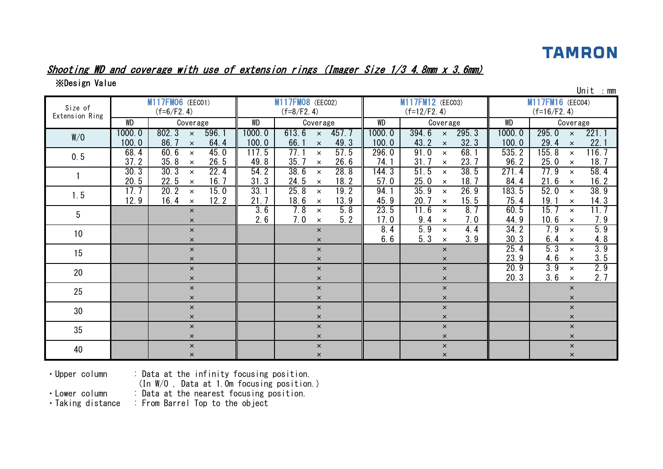#### Shooting WD and coverage with use of extension rings (Imager Size 1/3 4.8mm x 3.6mm)

※Design Value

| Size of<br>Extension Ring |                 | M117FM06 (EEC01)<br>$(f=6/F2.4)$                             |                 | M117FM08 (EEC02)<br>$(f=8/F2.4)$                      |                 | M117FM12 (EEC03)<br>$(f=12/F2.4)$                      |                 | ᇭ<br>M117FM16 (EEC04)<br>$(f=16/F2.4)$                  |
|---------------------------|-----------------|--------------------------------------------------------------|-----------------|-------------------------------------------------------|-----------------|--------------------------------------------------------|-----------------|---------------------------------------------------------|
|                           | WD              | Coverage                                                     | WD              | Coverage                                              | WD              | Coverage                                               | WD              | Coverage                                                |
| W/O                       | 1000.0<br>100.0 | 802.3<br>596.1<br>$\times$<br>86.7<br>64.4<br>$\pmb{\times}$ | 1000.0<br>100.0 | 613.6<br>457.7<br>$\times$<br>49.3<br>66.<br>$\times$ | 1000.0<br>100.0 | 394.6<br>295.3<br>$\times$<br>32.3<br>43.2<br>$\times$ | 1000.0<br>100.0 | 295.0<br>221.1<br>$\times$<br>22.<br>29.4<br>$\times$   |
| 0.5                       | 68.4<br>37.2    | 60.6<br>45.0<br>$\times$<br>35.8<br>26.5<br>$\pmb{\times}$   | 117.5<br>49.8   | 77.1<br>57.5<br>$\times$<br>35.7<br>26.6<br>$\times$  | 296.0<br>74.1   | 91.0<br>68.1<br>$\times$<br>23.7<br>31.7<br>$\times$   | 535.2<br>96.2   | 155.8<br>116. 7<br>$\times$<br>25.0<br>18.7<br>$\times$ |
|                           | 30.3<br>20.5    | 30.3<br>22.4<br>$\times$<br>22.5<br>16.7<br>$\pmb{\times}$   | 54.2<br>31.3    | 38.6<br>28.8<br>$\times$<br>24.5<br>18.2<br>$\times$  | 144.3<br>57.0   | 38.5<br>51.5<br>$\times$<br>25.0<br>18.7<br>$\times$   | 271.4<br>84.4   | 77.9<br>58.4<br>$\times$<br>16.2<br>21.6<br>$\times$    |
| 1.5                       | 17.7<br>12.9    | 15.0<br>20.2<br>$\times$<br>16.4<br>12.2<br>$\times$         | 33.1<br>21.7    | 25.8<br>19.2<br>$\times$<br>13.9<br>18.6<br>$\times$  | 94.1<br>45.9    | 35.9<br>26.9<br>$\times$<br>20.7<br>15.5<br>$\times$   | 183.5<br>75.4   | 52.0<br>38.9<br>$\times$<br>19.1<br>14.3<br>$\times$    |
| $5\phantom{.0}$           |                 | $\times$<br>$\times$                                         | 3.6<br>2.6      | 7.8<br>5.8<br>$\times$<br>7.0<br>5.2<br>$\times$      | 23.5<br>17.0    | 11.6<br>8.7<br>$\times$<br>9.4<br>7.0<br>$\times$      | 60.5<br>44.9    | 15.7<br>11.7<br>$\times$<br>7.9<br>10.6<br>$\times$     |
| 10 <sup>°</sup>           |                 | $\times$<br>$\times$                                         |                 | $\mathsf{x}$<br>$\times$                              | 8.4<br>6.6      | 5.9<br>4.4<br>$\times$<br>5.3<br>3.9<br>$\times$       | 34.2<br>30.3    | 5.9<br>7.9<br>$\times$<br>4.8<br>6.4<br>$\times$        |
| 15                        |                 | $\times$<br>$\times$                                         |                 | $\times$<br>$\times$                                  |                 | $\times$<br>$\times$                                   | 25.4<br>23.9    | 3.9<br>5.3<br>$\times$<br>3.5<br>4.6<br>$\times$        |
| 20                        |                 | $\times$<br>$\pmb{\times}$                                   |                 | $\times$<br>$\times$                                  |                 | $\boldsymbol{\mathsf{x}}$<br>$\boldsymbol{\mathsf{x}}$ | 20.9<br>20.3    | 2.9<br>3.9<br>$\times$<br>3.6<br>2.7<br>$\times$        |
| 25                        |                 | $\times$<br>$\pmb{\times}$                                   |                 | $\times$<br>$\times$                                  |                 | $\pmb{\times}$<br>$\times$                             |                 | $\times$<br>$\times$                                    |
| 30                        |                 | $\pmb{\times}$<br>$\times$                                   |                 | $\times$<br>$\times$                                  |                 | $\pmb{\times}$<br>$\times$                             |                 | $\times$<br>$\times$                                    |
| 35                        |                 | $\pmb{\times}$<br>$\times$                                   |                 | $\times$<br>$\times$                                  |                 | $\pmb{\times}$<br>$\pmb{\times}$                       |                 | $\times$<br>$\pmb{\times}$                              |
| 40                        |                 | $\times$<br>$\times$                                         |                 | $\times$<br>$\times$                                  |                 | $\boldsymbol{\mathsf{x}}$<br>$\pmb{\times}$            |                 | $\times$<br>$\pmb{\times}$                              |

Unit :mm

・Upper column : Data at the infinity focusing position.

(In W/O , Data at 1.0m focusing position.)

• Lower column : Data at the nearest focusing position.<br>• Taking distance : From Barrel Top to the object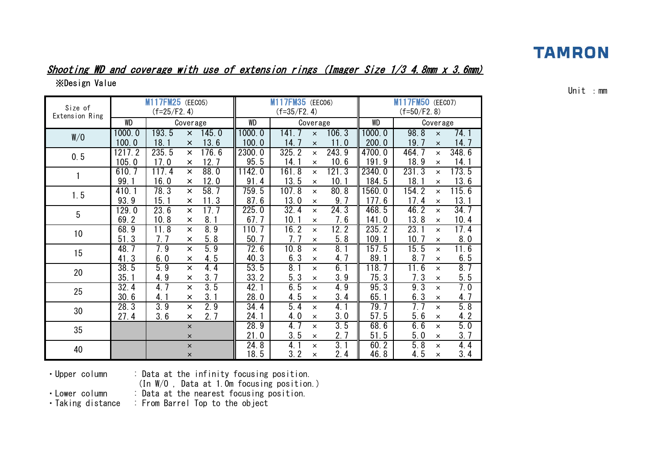#### Shooting WD and coverage with use of extension rings (Imager Size 1/3 4.8mm x 3.6mm) ※Design Value

| Size of         |                       | <b>M117FM25</b> (EEC05)<br>$(f=25/F2.4)$ |                         |       |           | M117FM35 (EECO6)<br>$(f=35/F2.4)$ |                |       |           | M117FM50 (EEC07)<br>$(f=50/F2.8)$ |                |       |
|-----------------|-----------------------|------------------------------------------|-------------------------|-------|-----------|-----------------------------------|----------------|-------|-----------|-----------------------------------|----------------|-------|
| Extension Ring  | <b>WD</b>             |                                          | Coverage                |       | <b>WD</b> |                                   | Coverage       |       | <b>WD</b> |                                   | Coverage       |       |
| W/O             | 1000.0                | 193.5                                    | $\times$                | 145.0 | 1000.0    | 141. 7                            | $\times$       | 106.3 | 1000.0    | 98.8                              | $\times$       | 74. 1 |
|                 | 100.0                 | 18.1                                     | $\times$                | 13.6  | 100.0     | 14.7                              | $\times$       | 11.0  | 200.0     | 19.7                              | $\times$       | 14.7  |
| 0.5             | 1217.2                | 235.5                                    | ×                       | 176.6 | 2300.0    | 325.2                             | $\times$       | 243.9 | 4700.0    | 464.7                             | $\times$       | 348.6 |
|                 | 105.0                 | 17.0                                     | ×                       | 12.7  | 95.5      | 14.1                              | $\times$       | 10.6  | 191.9     | 18.9                              | $\times$       | 14.1  |
| 1               | 610.7                 | 117.4                                    | ×                       | 88.0  | 1142.0    | 161.8                             | $\times$       | 121.3 | 2340.0    | 231.3                             | $\times$       | 173.5 |
|                 | 99.                   | 16.0                                     | ×                       | 12.0  | 91.4      | 13.5                              | $\times$       | 10.1  | 184.5     | 18.1                              | $\times$       | 13.6  |
| 1.5             | 410.1                 | 78.3                                     | ×                       | 58.7  | 759.5     | 107.8                             | $\times$       | 80.8  | 560.0     | 154.2                             | $\times$       | 115.6 |
|                 | 93.9                  | 15.1                                     | ×                       | 11.3  | 87.6      | 13.0                              | $\times$       | 9.7   | 177.6     | 17.4                              | $\times$       | 13.1  |
| $5\phantom{.0}$ | 129.0                 | 23.6                                     | $\times$                | 17.7  | 225.0     | 32.4                              | $\times$       | 24.3  | 468.5     | 46.2                              | $\times$       | 34.7  |
|                 | $\overline{2}$<br>69. | 10.8                                     | ×                       | 8.1   | 67.7      | 10.1                              | $\times$       | 7.6   | 141.0     | 13.8                              | $\times$       | 10.4  |
| 10              | 68.9                  | 11.8                                     | $\overline{\mathsf{x}}$ | 8.9   | 110.7     | 16.2                              | $\times$       | 12.2  | 235.2     | 23.1                              | $\times$       | 17.4  |
|                 | 51.3                  | 7.7                                      | ×                       | 5.8   | 50.7      | 7.7                               | $\times$       | 5.8   | 109.1     | 10.7                              | $\times$       | 8.0   |
| 15              | 48.7                  | 7.9                                      | ×                       | 5.9   | 72.6      | 10.8                              | $\times$       | 8.1   | 157.5     | 15.5                              | $\times$       | 11.6  |
|                 | 41.3                  | 6.0                                      | ×                       | 4.5   | 40.3      | 6.3                               | $\times$       | 4.7   | 89.1      | 8.7                               | $\pmb{\times}$ | 6.5   |
| 20              | 38.5                  | 5.9                                      | $\times$                | 4.4   | 53.5      | 8.1                               | $\times$       | 6.1   | 118.7     | 11.6                              | $\times$       | 8.7   |
|                 | 35.                   | 4.9                                      | $\times$                | 3.7   | 33.2      | 5.3                               | $\times$       | 3.9   | 75.3      | 7.3                               | $\times$       | 5.5   |
| 25              | 32.4                  | 4.7                                      | $\times$                | 3.5   | 42.1      | 6.5                               | $\times$       | 4.9   | 95.3      | 9.3                               | $\times$       | 7.0   |
|                 | 30.6                  | 4.1                                      | ×                       | 3.1   | 28.0      | 4.5                               | $\times$       | 3.4   | 65.1      | 6.3                               | $\pmb{\times}$ | 4.7   |
| 30              | $28.\overline{3}$     | 3.9                                      | $\times$                | 2.9   | 34.4      | 5.4                               | $\times$       | 4.1   | 79.7      | 7. 7                              | $\times$       | 5.8   |
|                 | 27.4                  | 3.6                                      | ×                       | 2.7   | 24.1      | 4.0                               | $\times$       | 3.0   | 57.5      | 5.6                               | $\times$       | 4.2   |
| 35              |                       |                                          | $\pmb{\times}$          |       | 28.9      | 4.7                               | $\times$       | 3.5   | 68.6      | 6.6                               | $\times$       | 5.0   |
|                 |                       |                                          | $\pmb{\times}$          |       | 21.0      | 3.5                               | $\pmb{\times}$ | 2.7   | 51.5      | 5.0                               | $\times$       | 3.7   |
| 40              |                       |                                          | $\pmb{\times}$          |       | 24.8      | 4.                                | $\times$       | 3.1   | 60.2      | 5.8                               | $\times$       | 4.4   |
|                 |                       |                                          | $\pmb{\times}$          |       | 18.5      | 3.2                               | $\times$       | 2.4   | 46.8      | 4.5                               | $\times$       | 3.4   |

Unit :mm

・Upper column : Data at the infinity focusing position.

(In W/O , Data at 1.0m focusing position.)

• Lower column : Data at the nearest focusing position.<br>• Taking distance : From Barrel Top to the object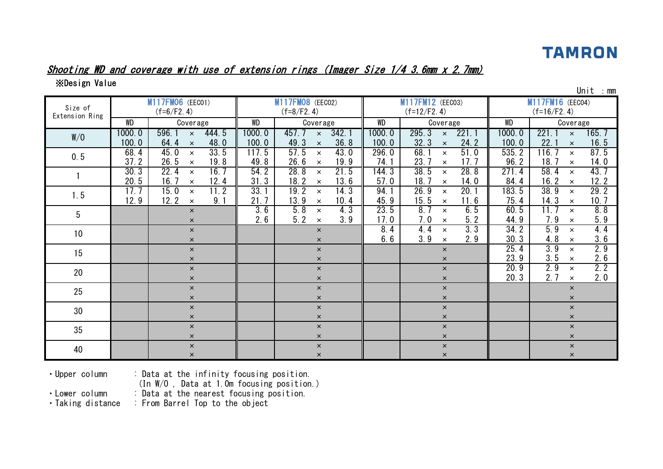

#### Shooting WD and coverage with use of extension rings (Imager Size 1/4 3.6mm x 2.7mm)

※Design Value

| Size of<br>Extension Ring |                 | M117FM06 (EEC01)<br>$(f=6/F2.4)$                       |                 | M117FM08 (EEC02)<br>$(f=8/F2.4)$                       |                 | M117FM12 (EEC03)<br>$(f=12/F2.4)$                                |                 | $11111$ . $11111$<br>M117FM16 (EEC04)<br>$(f=16/F2.4)$ |
|---------------------------|-----------------|--------------------------------------------------------|-----------------|--------------------------------------------------------|-----------------|------------------------------------------------------------------|-----------------|--------------------------------------------------------|
|                           | <b>WD</b>       | Coverage                                               | WD              | Coverage                                               | WD              | Coverage                                                         | <b>WD</b>       | Coverage                                               |
| W/O                       | 1000.0<br>100.0 | 596.1<br>444.5<br>$\times$<br>48.0<br>64.4<br>$\times$ | 1000.0<br>100.0 | 457.7<br>342.1<br>$\times$<br>36.8<br>49.3<br>$\times$ | 1000.0<br>100.0 | 295.3<br>221.1<br>$\mathsf{x}$<br>24.2<br>32.3<br>$\pmb{\times}$ | 1000.0<br>100.0 | 221.1<br>165.7<br>$\times$<br>22.1<br>16.5<br>$\times$ |
| 0.5                       | 68.4<br>37.2    | 33.5<br>45.0<br>$\times$<br>26.5<br>19.8<br>$\times$   | 117.5<br>49.8   | 57.5<br>43.0<br>$\times$<br>26.6<br>19.9<br>$\times$   | 296.0<br>74.1   | 68.<br>51.0<br>$\times$<br>23.7<br>17.7<br>$\pmb{\times}$        | 535.2<br>96.2   | 87.5<br>116.7<br>$\times$<br>18.7<br>14.0<br>$\times$  |
|                           | 30.3<br>20.5    | 22.4<br>16.7<br>$\times$<br>16.7<br>12.4<br>$\times$   | 54.2<br>31.3    | 28.8<br>21.5<br>$\times$<br>18.2<br>13.6<br>$\times$   | 144.3<br>57.0   | 38.5<br>28.8<br>$\times$<br>18.7<br>14.0<br>$\pmb{\times}$       | 271.4<br>84.4   | 58.4<br>43.7<br>$\times$<br>12.2<br>16.2<br>$\times$   |
| 1.5                       | 17.7<br>12.9    | 15.0<br>11.2<br>$\times$<br>9.1<br>12.2<br>$\times$    | 33.1<br>21.7    | 19.2<br>14.3<br>$\times$<br>13.9<br>10.4<br>$\times$   | 94.1<br>45.9    | 26.9<br>20.1<br>$\times$<br>15.5<br>11.6<br>$\times$             | 183.5<br>75.4   | 38.9<br>29.2<br>$\times$<br>10.7<br>14.3<br>$\times$   |
| 5                         |                 | $\times$<br>$\times$                                   | 3.6<br>2.6      | 5.8<br>4.3<br>$\times$<br>5.2<br>3.9<br>$\times$       | 23.5<br>17.0    | 8.7<br>6.5<br>$\times$<br>7.0<br>5.2<br>$\times$                 | 60.5<br>44.9    | 8.8<br>11.7<br>$\times$<br>5.9<br>7.9<br>$\times$      |
| 10 <sup>°</sup>           |                 | $\times$<br>$\times$                                   |                 | $\mathsf{x}$<br>$\mathsf{x}$                           | 8.4<br>6.6      | 3.3<br>4.4<br>$\times$<br>3.9<br>2.9<br>$\times$                 | 34.2<br>30.3    | 5.9<br>4.4<br>$\times$<br>3.6<br>4.8<br>$\times$       |
| 15                        |                 | $\times$<br>$\times$                                   |                 | $\mathsf{x}$<br>$\times$                               |                 | $\times$<br>$\times$                                             | 25.4<br>23.9    | 3.9<br>2.9<br>$\times$<br>2.6<br>3.5<br>$\times$       |
| 20                        |                 | $\times$<br>$\times$                                   |                 | $\mathsf{x}$<br>$\times$                               |                 | $\pmb{\times}$<br>$\times$                                       | 20.9<br>20.3    | 2.2<br>2.9<br>$\times$<br>2.0<br>2.7<br>$\times$       |
| 25                        |                 | $\times$<br>$\times$                                   |                 | $\times$<br>$\mathsf{x}$                               |                 | $\times$<br>$\times$                                             |                 | $\times$<br>$\times$                                   |
| 30                        |                 | $\pmb{\times}$<br>$\times$                             |                 | $\mathsf{x}$<br>$\pmb{\times}$                         |                 | $\pmb{\times}$<br>$\pmb{\times}$                                 |                 | $\pmb{\times}$<br>$\times$                             |
| 35                        |                 | $\times$<br>$\times$                                   |                 | $\mathsf{x}$<br>$\times$                               |                 | $\pmb{\times}$<br>$\times$                                       |                 | $\times$<br>$\times$                                   |
| 40                        |                 | $\times$<br>$\times$                                   |                 | $\pmb{\times}$<br>$\times$                             |                 | $\boldsymbol{\times}$<br>$\pmb{\times}$                          |                 | $\times$<br>$\times$                                   |

Unit :mm

・Upper column : Data at the infinity focusing position.

(In W/O , Data at 1.0m focusing position.)

• Lower column : Data at the nearest focusing position.<br>• Taking distance : From Barrel Top to the object